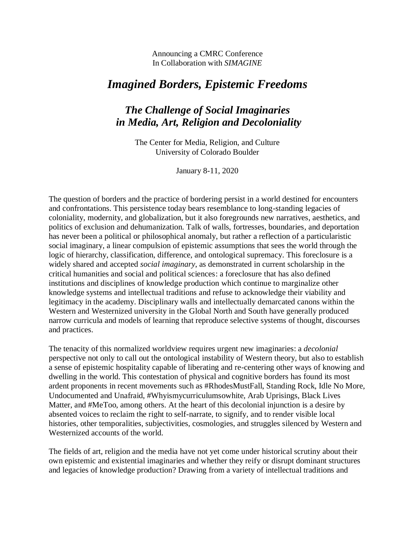Announcing a CMRC Conference In Collaboration with *SIMAGINE*

# *Imagined Borders, Epistemic Freedoms*

# *The Challenge of Social Imaginaries in Media, Art, Religion and Decoloniality*

The Center for Media, Religion, and Culture University of Colorado Boulder

January 8-11, 2020

The question of borders and the practice of bordering persist in a world destined for encounters and confrontations. This persistence today bears resemblance to long-standing legacies of coloniality, modernity, and globalization, but it also foregrounds new narratives, aesthetics, and politics of exclusion and dehumanization. Talk of walls, fortresses, boundaries, and deportation has never been a political or philosophical anomaly, but rather a reflection of a particularistic social imaginary, a linear compulsion of epistemic assumptions that sees the world through the logic of hierarchy, classification, difference, and ontological supremacy. This foreclosure is a widely shared and accepted *social imaginary*, as demonstrated in current scholarship in the critical humanities and social and political sciences: a foreclosure that has also defined institutions and disciplines of knowledge production which continue to marginalize other knowledge systems and intellectual traditions and refuse to acknowledge their viability and legitimacy in the academy. Disciplinary walls and intellectually demarcated canons within the Western and Westernized university in the Global North and South have generally produced narrow curricula and models of learning that reproduce selective systems of thought, discourses and practices.

The tenacity of this normalized worldview requires urgent new imaginaries: a *decolonial* perspective not only to call out the ontological instability of Western theory, but also to establish a sense of epistemic hospitality capable of liberating and re-centering other ways of knowing and dwelling in the world. This contestation of physical and cognitive borders has found its most ardent proponents in recent movements such as #RhodesMustFall, Standing Rock, Idle No More, Undocumented and Unafraid, #Whyismycurriculumsowhite, Arab Uprisings, Black Lives Matter, and #MeToo, among others. At the heart of this decolonial injunction is a desire by absented voices to reclaim the right to self-narrate, to signify, and to render visible local histories, other temporalities, subjectivities, cosmologies, and struggles silenced by Western and Westernized accounts of the world.

The fields of art, religion and the media have not yet come under historical scrutiny about their own epistemic and existential imaginaries and whether they reify or disrupt dominant structures and legacies of knowledge production? Drawing from a variety of intellectual traditions and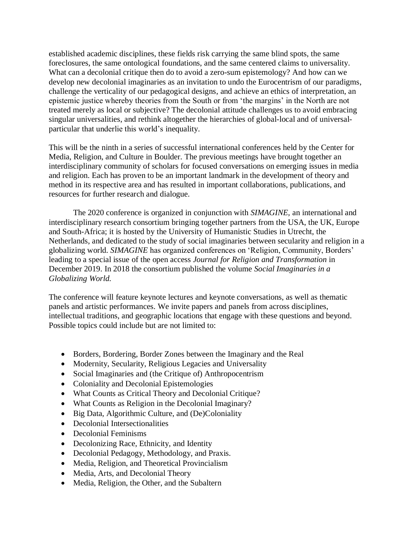established academic disciplines, these fields risk carrying the same blind spots, the same foreclosures, the same ontological foundations, and the same centered claims to universality. What can a decolonial critique then do to avoid a zero-sum epistemology? And how can we develop new decolonial imaginaries as an invitation to undo the Eurocentrism of our paradigms, challenge the verticality of our pedagogical designs, and achieve an ethics of interpretation, an epistemic justice whereby theories from the South or from 'the margins' in the North are not treated merely as local or subjective? The decolonial attitude challenges us to avoid embracing singular universalities, and rethink altogether the hierarchies of global-local and of universalparticular that underlie this world's inequality.

This will be the ninth in a series of successful international conferences held by the Center for Media, Religion, and Culture in Boulder. The previous meetings have brought together an interdisciplinary community of scholars for focused conversations on emerging issues in media and religion. Each has proven to be an important landmark in the development of theory and method in its respective area and has resulted in important collaborations, publications, and resources for further research and dialogue.

The 2020 conference is organized in conjunction with *SIMAGINE,* an international and interdisciplinary research consortium bringing together partners from the USA, the UK, Europe and South-Africa; it is hosted by the University of Humanistic Studies in Utrecht, the Netherlands, and dedicated to the study of social imaginaries between secularity and religion in a globalizing world. *SIMAGINE* has organized conferences on 'Religion, Community, Borders' leading to a special issue of the open access *Journal for Religion and Transformation* in December 2019. In 2018 the consortium published the volume *Social Imaginaries in a Globalizing World.*

The conference will feature keynote lectures and keynote conversations, as well as thematic panels and artistic performances. We invite papers and panels from across disciplines, intellectual traditions, and geographic locations that engage with these questions and beyond. Possible topics could include but are not limited to:

- Borders, Bordering, Border Zones between the Imaginary and the Real
- Modernity, Secularity, Religious Legacies and Universality
- Social Imaginaries and (the Critique of) Anthropocentrism
- Coloniality and Decolonial Epistemologies
- What Counts as Critical Theory and Decolonial Critique?
- What Counts as Religion in the Decolonial Imaginary?
- Big Data, Algorithmic Culture, and (De)Coloniality
- Decolonial Intersectionalities
- Decolonial Feminisms
- Decolonizing Race, Ethnicity, and Identity
- Decolonial Pedagogy, Methodology, and Praxis.
- Media, Religion, and Theoretical Provincialism
- Media, Arts, and Decolonial Theory
- Media, Religion, the Other, and the Subaltern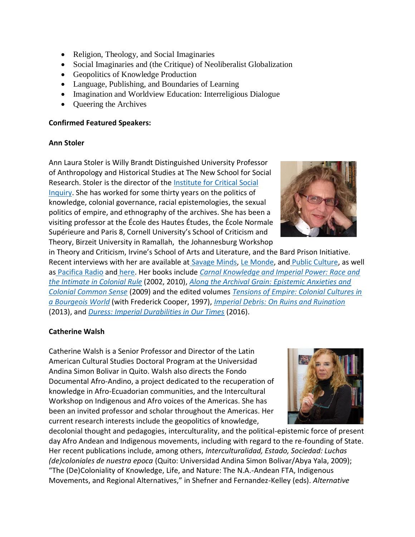- Religion, Theology, and Social Imaginaries
- Social Imaginaries and (the Critique) of Neoliberalist Globalization
- Geopolitics of Knowledge Production
- Language, Publishing, and Boundaries of Learning
- Imagination and Worldview Education: Interreligious Dialogue
- Queering the Archives

#### **Confirmed Featured Speakers:**

#### **Ann Stoler**

Ann Laura Stoler is Willy Brandt Distinguished University Professor of Anthropology and Historical Studies at The New School for Social Research. Stoler is the director of the [Institute for Critical Social](http://www.criticalsocialinquiry.org/)  [Inquiry.](http://www.criticalsocialinquiry.org/) She has worked for some thirty years on the politics of knowledge, colonial governance, racial epistemologies, the sexual politics of empire, and ethnography of the archives. She has been a visiting professor at the École des Hautes Études, the École Normale Supérieure and Paris 8, Cornell University's School of Criticism and Theory, Birzeit University in Ramallah, the Johannesburg Workshop

in Theory and Criticism, Irvine's School of Arts and Literature, and the Bard Prison Initiative. Recent interviews with her are available at [Savage Minds,](http://savageminds.org/2014/12/19/doing-concept-work-an-interview-with-ann-stoler-about-the-institute-for-critical-social-inquiry/) [Le Monde,](http://www.criticalsocialinquiry.org/s/Lemonde.pdf) and [Public Culture,](http://www.criticalsocialinquiry.org/s/PUBLIC-CULTURE-INTERVIEW-2012.pdf) as well as [Pacifica Radio](http://www.againstthegrain.org/program/761/tues-81313-what-empire-ruins) and [here.](http://www.criticalsocialinquiry.org/s/Ecrire-lHistoire-interview-26-juin-2014.doc) Her books include *[Carnal Knowledge and Imperial Power: Race and](https://www.amazon.com/Carnal-Knowledge-Imperial-Power-Intimate/dp/0520262468)  [the Intimate in Colonial Rule](https://www.amazon.com/Carnal-Knowledge-Imperial-Power-Intimate/dp/0520262468)* (2002, 2010), *[Along the Archival Grain: Epistemic Anxieties and](https://www.amazon.com/Along-Archival-Grain-Epistemic-Anxieties/dp/0691146365)  [Colonial Common Sense](https://www.amazon.com/Along-Archival-Grain-Epistemic-Anxieties/dp/0691146365)* (2009) and the edited volumes *[Tensions of Empire: Colonial Cultures in](https://www.amazon.com/Tensions-Empire-Frederick-Cooper/dp/0520206053)  [a Bourgeois World](https://www.amazon.com/Tensions-Empire-Frederick-Cooper/dp/0520206053)* (with Frederick Cooper, 1997), *[Imperial Debris: On Ruins and Ruination](https://www.amazon.com/Imperial-Debris-Ann-Laura-Stoler/dp/0822353482)* (2013), and *[Duress: Imperial Durabilities in Our Times](https://www.amazon.com/Duress-Imperial-Durabilities-Franklin-Center/dp/0822362678)* (2016).

### **Catherine Walsh**

Catherine Walsh is a Senior Professor and Director of the Latin American Cultural Studies Doctoral Program at the Universidad Andina Simon Bolivar in Quito. Walsh also directs the Fondo Documental Afro-Andino, a project dedicated to the recuperation of knowledge in Afro-Ecuadorian communities, and the Intercultural Workshop on Indigenous and Afro voices of the Americas. She has been an invited professor and scholar throughout the Americas. Her current research interests include the geopolitics of knowledge,

decolonial thought and pedagogies, interculturality, and the political-epistemic force of present day Afro Andean and Indigenous movements, including with regard to the re-founding of State. Her recent publications include, among others, *Interculturalidad, Estado, Sociedad: Luchas (de)coloniales de nuestra epoca* (Quito: Universidad Andina Simon Bolivar/Abya Yala, 2009); "The (De)Coloniality of Knowledge, Life, and Nature: The N.A.-Andean FTA, Indigenous Movements, and Regional Alternatives," in Shefner and Fernandez-Kelley (eds). *Alternative*